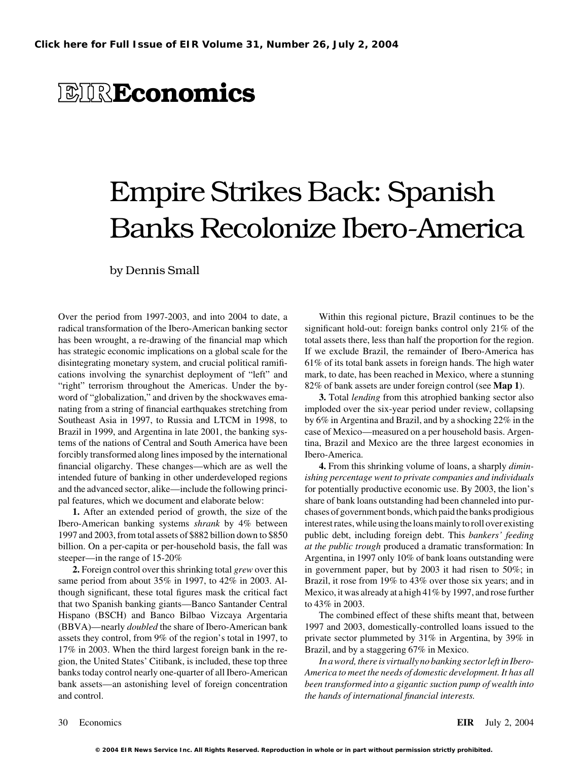# **EIREconomics**

# Empire Strikes Back: Spanish Banks Recolonize Ibero-America

by Dennis Small

radical transformation of the Ibero-American banking sector significant hold-out: foreign banks control only 21% of the has been wrought, a re-drawing of the financial map which total assets there, less than half the proportion for the region. has strategic economic implications on a global scale for the If we exclude Brazil, the remainder of Ibero-America has disintegrating monetary system, and crucial political ramifi- 61% of its total bank assets in foreign hands. The high water cations involving the synarchist deployment of "left" and mark, to date, has been reached in Mexico, where a stunning "right" terrorism throughout the Americas. Under the by- 82% of bank assets are under foreign control (see **Map 1**). word of "globalization," and driven by the shockwaves ema- **3.** Total *lending* from this atrophied banking sector also nating from a string of financial earthquakes stretching from imploded over the six-year period under review, collapsing Southeast Asia in 1997, to Russia and LTCM in 1998, to by 6% in Argentina and Brazil, and by a shocking 22% in the Brazil in 1999, and Argentina in late 2001, the banking sys- case of Mexico—measured on a per household basis. Argentems of the nations of Central and South America have been tina, Brazil and Mexico are the three largest economies in forcibly transformed along lines imposed by the international Ibero-America. financial oligarchy. These changes—which are as well the **4.** From this shrinking volume of loans, a sharply *dimin*intended future of banking in other underdeveloped regions *ishing percentage went to private companies and individuals* and the advanced sector, alike—include the following princi- for potentially productive economic use. By 2003, the lion's

same period from about 35% in 1997, to 42% in 2003. Al-<br>Brazil, it rose from 19% to 43% over those six years; and in though significant, these total figures mask the critical fact Mexico, it was already at a high 41% by 1997, and rose further that two Spanish banking giants—Banco Santander Central to 43% in 2003. Hispano (BSCH) and Banco Bilbao Vizcaya Argentaria The combined effect of these shifts meant that, between (BBVA)—nearly *doubled* the share of Ibero-American bank 1997 and 2003, domestically-controlled loans issued to the assets they control, from 9% of the region's total in 1997, to private sector plummeted by 31% in Argentina, by 39% in 17% in 2003. When the third largest foreign bank in the re- Brazil, and by a staggering 67% in Mexico. gion, the United States' Citibank, is included, these top three *In a word, there is virtually no banking sector left in Ibero*bank assets—an astonishing level of foreign concentration *been transformed into a gigantic suction pump of wealth into* and control. *the hands of international financial interests.*

Over the period from 1997-2003, and into 2004 to date, a Within this regional picture, Brazil continues to be the

pal features, which we document and elaborate below: share of bank loans outstanding had been channeled into pur-**1.** After an extended period of growth, the size of the chases of government bonds, which paid the banks prodigious Ibero-American banking systems *shrank* by 4% between interest rates, while using the loans mainly to roll over existing 1997 and 2003, from total assets of \$882 billion down to \$850 public debt, including foreign debt. This *bankers' feeding* billion. On a per-capita or per-household basis, the fall was *at the public trough* produced a dramatic transformation: In steeper—in the range of 15-20% Argentina, in 1997 only 10% of bank loans outstanding were **2.** Foreign control over this shrinking total *grew* over this in government paper, but by 2003 it had risen to 50%; in

banks today control nearly one-quarter of all Ibero-American *America to meet the needs of domestic development. It has all*

30 Economics **EIR** July 2, 2004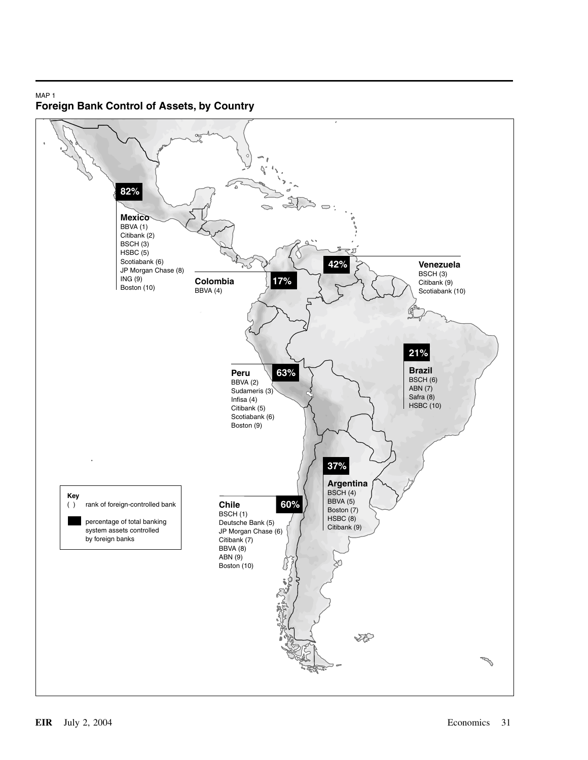# MAP 1 **Foreign Bank Control of Assets, by Country**

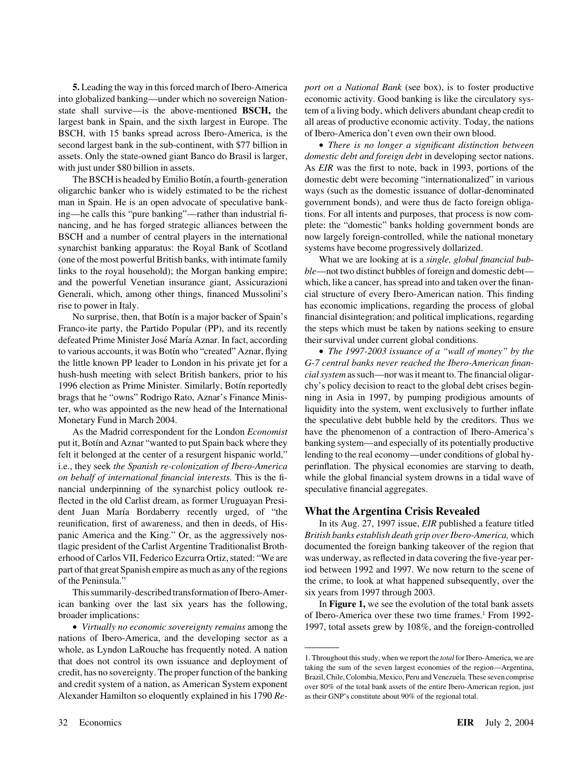into globalized banking—under which no sovereign Nation- economic activity. Good banking is like the circulatory sysstate shall survive—is the above-mentioned **BSCH,** the tem of a living body, which delivers abundant cheap credit to largest bank in Spain, and the sixth largest in Europe. The all areas of productive economic activity. Today, the nations BSCH, with 15 banks spread across Ibero-America, is the of Ibero-America don't even own their own blood. second largest bank in the sub-continent, with \$77 billion in • *There is no longer a significant distinction between* assets. Only the state-owned giant Banco do Brasil is larger, *domestic debt and foreign debt* in developing sector nations.

oligarchic banker who is widely estimated to be the richest ways (such as the domestic issuance of dollar-denominated man in Spain. He is an open advocate of speculative bank- government bonds), and were thus de facto foreign obligaing—he calls this "pure banking"—rather than industrial fi- tions. For all intents and purposes, that process is now comnancing, and he has forged strategic alliances between the plete: the "domestic" banks holding government bonds are BSCH and a number of central players in the international now largely foreign-controlled, while the national monetary synarchist banking apparatus: the Royal Bank of Scotland systems have become progressively dollarized. (one of the most powerful British banks, with intimate family What we are looking at is a *single, global financial bub*links to the royal household); the Morgan banking empire; *ble*—not two distinct bubbles of foreign and domestic debt and the powerful Venetian insurance giant, Assicurazioni which, like a cancer, has spread into and taken over the finan-Generali, which, among other things, financed Mussolini's cial structure of every Ibero-American nation. This finding rise to power in Italy. has economic implications, regarding the process of global

Franco-ite party, the Partido Popular (PP), and its recently the steps which must be taken by nations seeking to ensure defeated Prime Minister José María Aznar. In fact, according their survival under current global conditions. to various accounts, it was Botín who "created" Aznar, flying • *The 1997-2003 issuance of a "wall of money" by the* the little known PP leader to London in his private jet for a *G-7 central banks never reached the Ibero-American finan*hush-hush meeting with select British bankers, prior to his *cial system* as such—nor was it meant to. The financial oligar-1996 election as Prime Minister. Similarly, Botin reportedly chy's policy decision to react to the global debt crises beginbrags that he "owns" Rodrigo Rato, Aznar's Finance Minis- ning in Asia in 1997, by pumping prodigious amounts of ter, who was appointed as the new head of the International liquidity into the system, went exclusively to further inflate Monetary Fund in March 2004. the speculative debt bubble held by the creditors. Thus we

put it, Botín and Aznar "wanted to put Spain back where they banking system—and especially of its potentially productive felt it belonged at the center of a resurgent hispanic world," lending to the real economy—under conditions of global hyi.e., they seek *the Spanish re-colonization of Ibero-America* perinflation. The physical economies are starving to death, *on behalf of international financial interests.* This is the fi- while the global financial system drowns in a tidal wave of nancial underpinning of the synarchist policy outlook re- speculative financial aggregates. flected in the old Carlist dream, as former Uruguayan President Juan María Bordaberry recently urged, of "the **What the Argentina Crisis Revealed** reunification, first of awareness, and then in deeds, of His- In its Aug. 27, 1997 issue, *EIR* published a feature titled panic America and the King." Or, as the aggressively nos- *British banks establish death grip over Ibero-America,* which tlagic president of the Carlist Argentine Traditionalist Broth- documented the foreign banking takeover of the region that erhood of Carlos VII, Federico Ezcurra Ortiz, stated: "We are was underway, as reflected in data covering the five-year perpart of that great Spanish empire as much as any of the regions iod between 1992 and 1997. We now return to the scene of

This summarily-described transformation of Ibero-Amer- six years from 1997 through 2003.

nations of Ibero-America, and the developing sector as a whole, as Lyndon LaRouche has frequently noted. A nation that does not control its own issuance and deployment of <sup>1. Throughout this study, when we report the *total* for Ibero-America, we are taking the sum of the seven largest economies of the region—Argentina, credit, has no</sup> Alexander Hamilton so eloquently explained in his 1790 *Re-* as their GNP's constitute about 90% of the regional total.

**5.** Leading the way in this forced march of Ibero-America *port on a National Bank* (see box), is to foster productive

with just under \$80 billion in assets. As *EIR* was the first to note, back in 1993, portions of the The BSCH is headed by Emilio Botín, a fourth-generation domestic debt were becoming "internationalized" in various

No surprise, then, that Botín is a major backer of Spain's financial disintegration; and political implications, regarding

As the Madrid correspondent for the London *Economist* have the phenomenon of a contraction of Ibero-America's

of the Peninsula." the crime, to look at what happened subsequently, over the

ican banking over the last six years has the following, In **Figure 1,** we see the evolution of the total bank assets broader implications: The of Ibero-America over these two time frames.<sup>1</sup> From 1992-• *Virtually no economic sovereignty remains* among the 1997, total assets grew by 108%, and the foreign-controlled

and credit system of a nation, as American System exponent over 80% of the total bank assets of the entire Ibero-American region, just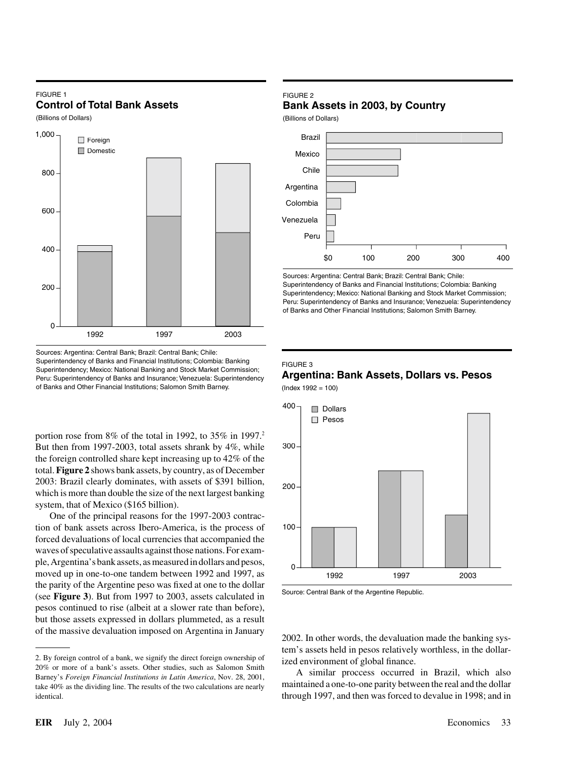### FIGURE 1 **Control of Total Bank Assets**

(Billions of Dollars)



Sources: Argentina: Central Bank; Brazil: Central Bank; Chile: Superintendency of Banks and Financial Institutions; Colombia: Banking Superintendency; Mexico: National Banking and Stock Market Commission; Peru: Superintendency of Banks and Insurance; Venezuela: Superintendency of Banks and Other Financial Institutions; Salomon Smith Barney.

portion rose from  $8\%$  of the total in 1992, to  $35\%$  in 1997.<sup>2</sup> But then from 1997-2003, total assets shrank by 4%, while the foreign controlled share kept increasing up to 42% of the total.**Figure 2** shows bank assets, by country, as of December 2003: Brazil clearly dominates, with assets of \$391 billion, which is more than double the size of the next largest banking system, that of Mexico (\$165 billion).

One of the principal reasons for the 1997-2003 contraction of bank assets across Ibero-America, is the process of forced devaluations of local currencies that accompanied the waves of speculative assaults against those nations. For example, Argentina's bank assets, as measured in dollars and pesos, moved up in one-to-one tandem between 1992 and 1997, as the parity of the Argentine peso was fixed at one to the dollar Source: Central Bank of the Argentine Republic. (see **Figure 3**). But from 1997 to 2003, assets calculated in pesos continued to rise (albeit at a slower rate than before), but those assets expressed in dollars plummeted, as a result of the massive devaluation imposed on Argentina in January 2002. In other words, the devaluation made the banking sys-

# FIGURE 2

**Bank Assets in 2003, by Country**

(Billions of Dollars)



Sources: Argentina: Central Bank; Brazil: Central Bank; Chile: Superintendency of Banks and Financial Institutions; Colombia: Banking Superintendency; Mexico: National Banking and Stock Market Commission; Peru: Superintendency of Banks and Insurance; Venezuela: Superintendency of Banks and Other Financial Institutions; Salomon Smith Barney.

### FIGURE 3

# **Argentina: Bank Assets, Dollars vs. Pesos**

 $($ Index 1992 = 100 $)$ 



tem's assets held in pesos relatively worthless, in the dollar-

maintained a one-to-one parity between the real and the dollar take 40% as the dividing line. The results of the two calculations are nearly maintained a one-to-one parity between the real and the dollar identical. through 1997, and then was forced to devalue in 1998; and in

<sup>2.</sup> By foreign control of a bank, we signify the direct foreign ownership of ized environment of global finance.<br>20% or more of a bank's assets. Other studies, such as Salomon Smith 20% or more of a bank's assets. Other studies, such as Salomon Smith A similar proccess occurred in Brazil, which also Barney's *Foreign Financial Institutions in Latin America*, Nov. 28, 2001,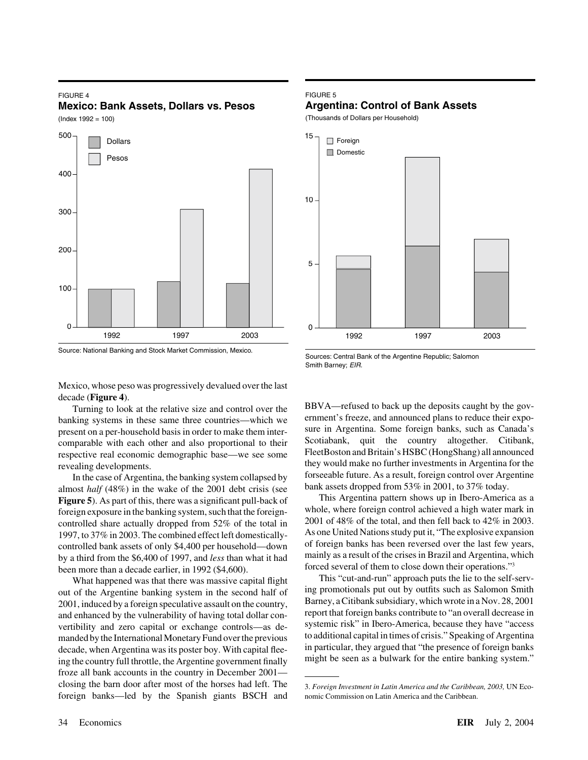## FIGURE 4 **Mexico: Bank Assets, Dollars vs. Pesos**

 $($ Index 1992 = 100 $)$ 





# FIGURE 5

# **Argentina: Control of Bank Assets**

(Thousands of Dollars per Household)



Sources: Central Bank of the Argentine Republic; Salomon Smith Barney; *EIR.*

Mexico, whose peso was progressively devalued over the last decade (**Figure 4**).

banking systems in these same three countries—which we ernment's freeze, and announced plans to reduce their expo-<br>present on a per-household basis in order to make them inter-<br>wre in Argentina. Some foreign banks, such as present on a per-household basis in order to make them inter-<br>comparable with each other and also proportional to their<br>Scotiabank, quit the country altogether. Citibank, comparable with each other and also proportional to their<br>respective real economic demographic base—we see some<br>FleetBoston and Britain's HSBC (HongShang) all announced respective real economic demographic base—we see some

In the case of Argentina, the banking system collapsed by forseeable future. As a result, foreign control over Argentina, the wake of the 2001 debt crisis (see bank assets dropped from 53% in 2001, to 37% today. almost *half* (48%) in the wake of the 2001 debt crisis (see bank assets dropped from 53% in 2001, to 37% today.<br>**Figure 5**) As part of this there was a significant pull-back of This Argentina pattern shows up in Ibero-Am **Figure 5**). As part of this, there was a significant pull-back of 2001 of 48% of the total, and then fell back to 42% in 2003.<br>
2007 to 37% in 2003. The combined effect left domestically as one United Nations study put it, "The explosive expansion 1997, to 37% in 2003. The combined effect left domestically-<br>
controlled bank assets of only \$4,400 per household—down of foreign banks has been reversed over the last few years, by a third from the \$6,400 of 1997, and *less* than what it had been more than a decade earlier, in 1992 (\$4,600).

out of the Argentine banking system in the second half of a promotionals put out by outfits such as Salomon Smith out of the Argentine banking system in the second half of Barney, a Citibank subsidiary, which wrote in a No 2001, induced by a foreign speculative assault on the country, and enhanced by the vulnerability of having total dollar con-<br>vertibility and zero capital or exchange controls—as de-<br>systemic risk" in Ibero-America, because they have "access vertibility and zero capital or exchange controls—as de-<br>manded by the International Monetary Fund over the previous to additional capital in times of crisis." Speaking of Argentina manded by the International Monetary Fund over the previous to additional capital in times of crisis." Speaking of Argentina<br>decade when Argentina was its poster boy. With capital flee- in particular, they argued that "the decade, when Argentina was its poster boy. With capital fleeing the country full throttle, the Argentine government finally might be seen as a bulwark for the entire banking system." froze all bank accounts in the country in December 2001 closing the barn door after most of the horses had left. The 3. *Foreign Investment in Latin America and the Caribbean*, 2003, UN Ecoforeign banks—led by the Spanish giants BSCH and nomic Commission on Latin America and the Caribbean.

Turning to look at the relative size and control over the BBVA—refused to back up the deposits caught by the gov-<br>king systems in these same three countries—which we ernment's freeze, and announced plans to reduce their ex they would make no further investments in Argentina for the<br>In the case of Argentina the banking system collansed by forseeable future. As a result, foreign control over Argentine

foreign exposure in the banking system, such that the foreign-<br>controlled share actually dropped from 52% of the total in 2001 of 48% of the total, and then fell back to 42% in 2003. controlled bank assets of only \$4,400 per household—down of foreign banks has been reversed over the last few years,<br>by a third from the \$6,400 of 1997, and less than what it had mainly as a result of the crises in Brazil forced several of them to close down their operations."3

What happened was that there was massive capital flight This "cut-and-run" approach puts the lie to the self-serv-<br>of the Argentine banking system in the second half of ing promotionals put out by outfits such as Salomon S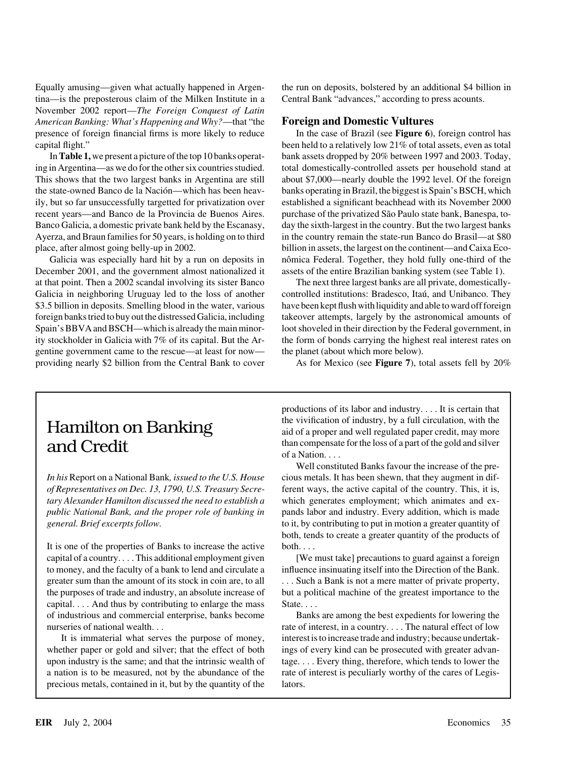Equally amusing—given what actually happened in Argen- the run on deposits, bolstered by an additional \$4 billion in tina—is the preposterous claim of the Milken Institute in a Central Bank "advances," according to press acounts. November 2002 report—*The Foreign Conquest of Latin American Banking: What's Happening and Why?*—that "the **Foreign and Domestic Vultures** presence of foreign financial firms is more likely to reduce In the case of Brazil (see **Figure 6**), foreign control has capital flight." been held to a relatively low 21% of total assets, even as total

December 2001, and the government almost nationalized it assets of the entire Brazilian banking system (see Table 1). gentine government came to the rescue—at least for now— the planet (about which more below). providing nearly \$2 billion from the Central Bank to cover As for Mexico (see **Figure 7**), total assets fell by 20%

In**Table 1,** we present a picture of the top 10 banks operat- bank assets dropped by 20% between 1997 and 2003. Today, ing in Argentina—as we do for the other six countries studied. total domestically-controlled assets per household stand at This shows that the two largest banks in Argentina are still about \$7,000—nearly double the 1992 level. Of the foreign the state-owned Banco de la Nación—which has been heav-<br>banks operating in Brazil, the biggest is Spain's BSCH, which ily, but so far unsuccessfully targetted for privatization over established a significant beachhead with its November 2000 recent years—and Banco de la Provincia de Buenos Aires. purchase of the privatized São Paulo state bank, Banespa, to-Banco Galicia, a domestic private bank held by the Escanasy, day the sixth-largest in the country. But the two largest banks Ayerza, and Braun families for 50 years, is holding on to third in the country remain the state-run Banco do Brasil—at \$80 place, after almost going belly-up in 2002. billion in assets, the largest on the continent—and Caixa Eco-Galicia was especially hard hit by a run on deposits in nômica Federal. Together, they hold fully one-third of the

at that point. Then a 2002 scandal involving its sister Banco The next three largest banks are all private, domestically-Galicia in neighboring Uruguay led to the loss of another controlled institutions: Bradesco, Itaú, and Unibanco. They \$3.5 billion in deposits. Smelling blood in the water, various have been kept flush with liquidity and able to ward off foreign foreign banks tried to buy out the distressed Galicia, including takeover attempts, largely by the astronomical amounts of Spain's BBVA and BSCH—which is already the main minor- loot shoveled in their direction by the Federal government, in ity stockholder in Galicia with 7% of its capital. But the Ar- the form of bonds carrying the highest real interest rates on

*In his* Report on a National Bank*, issued to the U.S. House* cious metals. It has been shewn, that they augment in dif*of Representatives on Dec. 13, 1790, U.S. Treasury Secre-* ferent ways, the active capital of the country. This, it is, *tary Alexander Hamilton discussed the need to establish a* which generates employment; which animates and ex*public National Bank, and the proper role of banking in* pands labor and industry. Every addition, which is made *general. Brief excerpts follow.* to it, by contributing to put in motion a greater quantity of

It is one of the properties of Banks to increase the active both.... capital of a country.... This additional employment given [We must take] precautions to guard against a foreign to money, and the faculty of a bank to lend and circulate a influence insinuating itself into the Direction of the Bank. greater sum than the amount of its stock in coin are, to all . . . Such a Bank is not a mere matter of private property, the purposes of trade and industry, an absolute increase of but a political machine of the greatest importance to the capital.  $\ldots$  And thus by contributing to enlarge the mass State... of industrious and commercial enterprise, banks become Banks are among the best expedients for lowering the nurseries of national wealth. . . . . . . . . . . . . The natural effect of low

whether paper or gold and silver; that the effect of both ings of every kind can be prosecuted with greater advanupon industry is the same; and that the intrinsic wealth of tage.... Every thing, therefore, which tends to lower the a nation is to be measured, not by the abundance of the rate of interest is peculiarly worthy of the cares of Legisprecious metals, contained in it, but by the quantity of the lators.

productions of its labor and industry. . . . It is certain that Hamilton on Banking the vivification of industry, by a full circulation, with the aid of a proper and well regulated paper credit, may more **and Credit** than compensate for the loss of a part of the gold and silver of a Nation. . . .

> Well constituted Banks favour the increase of the preboth, tends to create a greater quantity of the products of

It is immaterial what serves the purpose of money, interest is to increase trade and industry; because undertak-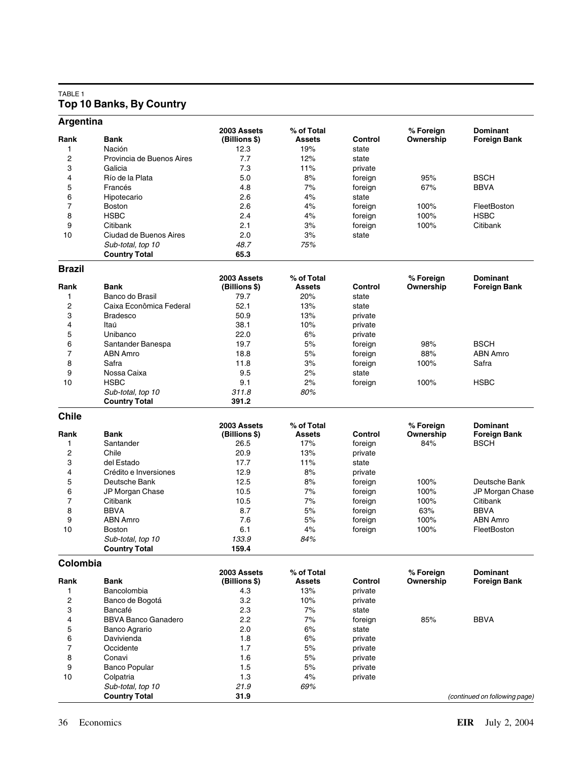# TABLE 1 **Top 10 Banks, By Country**

| Argentina               |                            |                              |                             |         |                        |                                        |
|-------------------------|----------------------------|------------------------------|-----------------------------|---------|------------------------|----------------------------------------|
| Rank                    | <b>Bank</b>                | 2003 Assets<br>(Billions \$) | % of Total<br><b>Assets</b> | Control | % Foreign<br>Ownership | <b>Dominant</b><br><b>Foreign Bank</b> |
| 1                       | Nación                     | 12.3                         | 19%                         | state   |                        |                                        |
| $\overline{c}$          | Provincia de Buenos Aires  | 7.7                          | 12%                         | state   |                        |                                        |
| 3                       | Galicia                    | 7.3                          | 11%                         | private |                        |                                        |
|                         |                            | 5.0                          | 8%                          |         | 95%                    | <b>BSCH</b>                            |
| 4                       | Río de la Plata            |                              | 7%                          | foreign |                        |                                        |
| 5                       | Francés                    | 4.8                          |                             | foreign | 67%                    | BBVA                                   |
| 6                       | Hipotecario                | 2.6                          | 4%                          | state   |                        |                                        |
| 7                       | <b>Boston</b>              | 2.6                          | 4%                          | foreign | 100%                   | FleetBoston                            |
| 8                       | <b>HSBC</b>                | 2.4                          | 4%                          | foreign | 100%                   | <b>HSBC</b>                            |
| 9                       | Citibank                   | 2.1                          | 3%                          | foreign | 100%                   | Citibank                               |
| 10                      | Ciudad de Buenos Aires     | 2.0                          | 3%                          | state   |                        |                                        |
|                         | Sub-total, top 10          | 48.7                         | 75%                         |         |                        |                                        |
|                         | <b>Country Total</b>       | 65.3                         |                             |         |                        |                                        |
| <b>Brazil</b>           |                            |                              |                             |         |                        |                                        |
|                         |                            | 2003 Assets                  | % of Total                  |         | % Foreign              | <b>Dominant</b>                        |
| Rank                    | <b>Bank</b>                | (Billions \$)                | <b>Assets</b>               | Control | Ownership              | Foreign Bank                           |
| 1                       | Banco do Brasil            | 79.7                         | 20%                         | state   |                        |                                        |
| $\overline{\mathbf{c}}$ | Caixa Econômica Federal    | 52.1                         | 13%                         | state   |                        |                                        |
| 3                       | <b>Bradesco</b>            | 50.9                         | 13%                         | private |                        |                                        |
| 4                       | Itaú                       | 38.1                         | 10%                         | private |                        |                                        |
| 5                       | Unibanco                   | 22.0                         | 6%                          | private |                        |                                        |
| 6                       | Santander Banespa          | 19.7                         | 5%                          | foreign | 98%                    | <b>BSCH</b>                            |
| $\overline{7}$          | <b>ABN Amro</b>            | 18.8                         | 5%                          | foreign | 88%                    | <b>ABN Amro</b>                        |
| 8                       | Safra                      | 11.8                         | 3%                          | foreign | 100%                   | Safra                                  |
| 9                       | Nossa Caixa                | 9.5                          | 2%                          | state   |                        |                                        |
| 10                      | <b>HSBC</b>                | 9.1                          | 2%                          | foreign | 100%                   | HSBC                                   |
|                         | Sub-total, top 10          | 311.8                        | 80%                         |         |                        |                                        |
|                         | <b>Country Total</b>       | 391.2                        |                             |         |                        |                                        |
| <b>Chile</b>            |                            |                              |                             |         |                        |                                        |
|                         |                            | 2003 Assets                  | % of Total                  |         | % Foreign              | <b>Dominant</b>                        |
| Rank                    | <b>Bank</b>                | (Billions \$)                | <b>Assets</b>               | Control | Ownership              | <b>Foreign Bank</b>                    |
| 1                       | Santander                  | 26.5                         | 17%                         | foreign | 84%                    | BSCH                                   |
| 2                       | Chile                      | 20.9                         | 13%                         | private |                        |                                        |
| 3                       | del Estado                 | 17.7                         | 11%                         | state   |                        |                                        |
| 4                       | Crédito e Inversiones      | 12.9                         | 8%                          | private |                        |                                        |
| 5                       | Deutsche Bank              | 12.5                         | 8%                          | foreign | 100%                   | Deutsche Bank                          |
| 6                       | JP Morgan Chase            | 10.5                         | 7%                          | foreign | 100%                   | JP Morgan Chase                        |
| $\overline{7}$          | Citibank                   | 10.5                         | 7%                          | foreign | 100%                   | Citibank                               |
| 8                       | <b>BBVA</b>                | 8.7                          | 5%                          | foreign | 63%                    | <b>BBVA</b>                            |
| 9                       | <b>ABN Amro</b>            | 7.6                          | 5%                          | foreign | 100%                   | <b>ABN Amro</b>                        |
| 10                      | <b>Boston</b>              | 6.1                          | 4%                          | foreign | 100%                   | FleetBoston                            |
|                         | Sub-total, top 10          | 133.9                        | 84%                         |         |                        |                                        |
|                         | <b>Country Total</b>       | 159.4                        |                             |         |                        |                                        |
| Colombia                |                            |                              |                             |         |                        |                                        |
|                         |                            | 2003 Assets                  | % of Total                  |         | % Foreign              | <b>Dominant</b>                        |
| Rank                    | <b>Bank</b>                | (Billions \$)                | Assets                      | Control | Ownership              | <b>Foreign Bank</b>                    |
| 1                       | Bancolombia                | 4.3                          | 13%                         | private |                        |                                        |
| $\overline{\mathbf{c}}$ | Banco de Bogotá            | 3.2                          | 10%                         | private |                        |                                        |
| 3                       | Bancafé                    | 2.3                          | 7%                          | state   |                        |                                        |
| 4                       | <b>BBVA Banco Ganadero</b> | 2.2                          | 7%                          | foreign | 85%                    | BBVA                                   |
| 5                       | Banco Agrario              | 2.0                          | 6%                          | state   |                        |                                        |
| 6                       | Davivienda                 | 1.8                          | 6%                          | private |                        |                                        |
| 7                       | Occidente                  | 1.7                          | 5%                          | private |                        |                                        |
| 8                       | Conavi                     | 1.6                          | 5%                          | private |                        |                                        |
| 9                       | <b>Banco Popular</b>       | 1.5                          | $5%$                        | private |                        |                                        |
| 10                      | Colpatria                  | 1.3                          | 4%                          | private |                        |                                        |
|                         | Sub-total, top 10          | 21.9                         | 69%                         |         |                        |                                        |
|                         | <b>Country Total</b>       | 31.9                         |                             |         |                        | (continued on following page)          |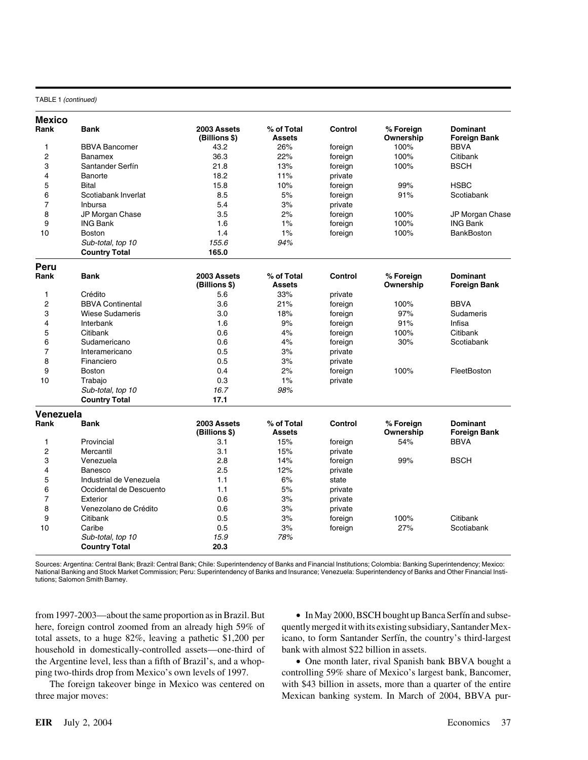### TABLE 1 *(continued)*

| <b>Mexico</b>           |                         |                              |                             |                |                        |                                        |
|-------------------------|-------------------------|------------------------------|-----------------------------|----------------|------------------------|----------------------------------------|
| Rank                    | <b>Bank</b>             | 2003 Assets<br>(Billions \$) | % of Total<br><b>Assets</b> | Control        | % Foreign<br>Ownership | <b>Dominant</b><br><b>Foreign Bank</b> |
| 1                       | <b>BBVA Bancomer</b>    | 43.2                         | 26%                         | foreign        | 100%                   | <b>BBVA</b>                            |
| $\overline{c}$          | Banamex                 | 36.3                         | 22%                         | foreign        | 100%                   | Citibank                               |
| 3                       | Santander Serfín        | 21.8                         | 13%                         | foreign        | 100%                   | <b>BSCH</b>                            |
| 4                       | Banorte                 | 18.2                         | 11%                         | private        |                        |                                        |
| 5                       | <b>Bital</b>            | 15.8                         | 10%                         | foreign        | 99%                    | <b>HSBC</b>                            |
| 6                       | Scotiabank Inverlat     | 8.5                          | 5%                          | foreign        | 91%                    | Scotiabank                             |
| $\overline{7}$          | Inbursa                 | 5.4                          | 3%                          | private        |                        |                                        |
| 8                       | JP Morgan Chase         | 3.5                          | 2%                          | foreign        | 100%                   | JP Morgan Chase                        |
| 9                       | <b>ING Bank</b>         | 1.6                          | 1%                          | foreign        | 100%                   | <b>ING Bank</b>                        |
| 10                      | <b>Boston</b>           | 1.4                          | 1%                          | foreign        | 100%                   | <b>BankBoston</b>                      |
|                         | Sub-total, top 10       | 155.6                        | 94%                         |                |                        |                                        |
|                         | <b>Country Total</b>    | 165.0                        |                             |                |                        |                                        |
|                         |                         |                              |                             |                |                        |                                        |
| Peru<br>Rank            | <b>Bank</b>             | 2003 Assets<br>(Billions \$) | % of Total<br><b>Assets</b> | <b>Control</b> | % Foreign<br>Ownership | <b>Dominant</b><br><b>Foreign Bank</b> |
| $\mathbf{1}$            | Crédito                 | 5.6                          | 33%                         | private        |                        |                                        |
| $\overline{c}$          | <b>BBVA Continental</b> | 3.6                          | 21%                         | foreign        | 100%                   | <b>BBVA</b>                            |
| 3                       | <b>Wiese Sudameris</b>  | 3.0                          | 18%                         | foreign        | 97%                    | Sudameris                              |
| $\overline{\mathbf{4}}$ | Interbank               | 1.6                          | 9%                          | foreign        | 91%                    | Infisa                                 |
| 5                       | Citibank                | 0.6                          | 4%                          | foreign        | 100%                   | Citibank                               |
| 6                       | Sudamericano            | 0.6                          | 4%                          | foreign        | 30%                    | Scotiabank                             |
| $\overline{7}$          | Interamericano          | 0.5                          | 3%                          | private        |                        |                                        |
| 8                       | Financiero              | 0.5                          | 3%                          | private        |                        |                                        |
| 9                       | <b>Boston</b>           | 0.4                          | 2%                          | foreign        | 100%                   | FleetBoston                            |
| 10                      | Trabajo                 | 0.3                          | 1%                          | private        |                        |                                        |
|                         | Sub-total, top 10       | 16.7                         | 98%                         |                |                        |                                        |
|                         | <b>Country Total</b>    | 17.1                         |                             |                |                        |                                        |
| Venezuela               |                         |                              |                             |                |                        |                                        |
| Rank                    | <b>Bank</b>             | 2003 Assets<br>(Billions \$) | % of Total<br><b>Assets</b> | Control        | % Foreign<br>Ownership | <b>Dominant</b><br>Foreign Bank        |
| 1                       | Provincial              | 3.1                          | 15%                         | foreign        | 54%                    | <b>BBVA</b>                            |
| $\overline{2}$          | Mercantil               | 3.1                          | 15%                         | private        |                        |                                        |
| 3                       | Venezuela               | 2.8                          | 14%                         | foreign        | 99%                    | <b>BSCH</b>                            |
| 4                       | Banesco                 | 2.5                          | 12%                         | private        |                        |                                        |
| 5                       | Industrial de Venezuela | 1.1                          | 6%                          | state          |                        |                                        |
| 6                       | Occidental de Descuento | 1.1                          | 5%                          | private        |                        |                                        |
| $\overline{7}$          | Exterior                | 0.6                          | 3%                          | private        |                        |                                        |
| 8                       | Venezolano de Crédito   | 0.6                          | 3%                          | private        |                        |                                        |
| 9                       | Citibank                | 0.5                          | 3%                          | foreign        | 100%                   | Citibank                               |
| 10                      | Caribe                  | 0.5                          | 3%                          | foreign        | 27%                    | Scotiabank                             |
|                         | Sub-total, top 10       | 15.9                         | 78%                         |                |                        |                                        |
|                         | <b>Country Total</b>    | 20.3                         |                             |                |                        |                                        |
|                         |                         |                              |                             |                |                        |                                        |

Sources: Argentina: Central Bank; Brazil: Central Bank; Chile: Superintendency of Banks and Financial Institutions; Colombia: Banking Superintendency; Mexico: National Banking and Stock Market Commission; Peru: Superintendency of Banks and Insurance; Venezuela: Superintendency of Banks and Other Financial Institutions; Salomon Smith Barney.

from 1997-2003—about the same proportion as in Brazil. But • In May 2000, BSCH bought up Banca Serfín and subsehere, foreign control zoomed from an already high 59% of quently merged it with its existing subsidiary, Santander Mextotal assets, to a huge  $82\%$ , leaving a pathetic \$1,200 per icano, to form Santander Serfín, the country's third-largest household in domestically-controlled assets—one-third of bank with almost \$22 billion in assets. the Argentine level, less than a fifth of Brazil's, and a whop- • One month later, rival Spanish bank BBVA bought a

three major moves: Mexican banking system. In March of 2004, BBVA pur-

ping two-thirds drop from Mexico's own levels of 1997. controlling 59% share of Mexico's largest bank, Bancomer, The foreign takeover binge in Mexico was centered on with \$43 billion in assets, more than a quarter of the entire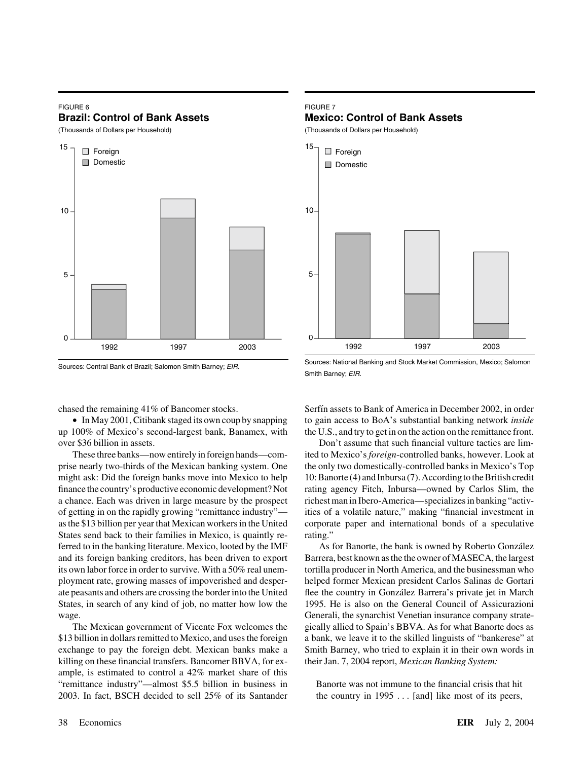# FIGURE 6 **Brazil: Control of Bank Assets**

(Thousands of Dollars per Household)





up 100% of Mexico's second-largest bank, Banamex, with the U.S., and try to get in on the action on the remittance front. over \$36 billion in assets. Don't assume that such financial vulture tactics are lim-

States send back to their families in Mexico, is quaintly re- rating." ferred to in the banking literature. Mexico, looted by the IMF As for Banorte, the bank is owned by Roberto González and its foreign banking creditors, has been driven to export Barrera, best known as the the owner of MASECA, the largest its own labor force in order to survive. With a 50% real unem- tortilla producer in North America, and the businessman who ployment rate, growing masses of impoverished and desper- helped former Mexican president Carlos Salinas de Gortari ate peasants and others are crossing the border into the United flee the country in González Barrera's private jet in March States, in search of any kind of job, no matter how low the 1995. He is also on the General Council of Assicurazioni wage. Generali, the synarchist Venetian insurance company strate-

\$13 billion in dollars remitted to Mexico, and uses the foreign a bank, we leave it to the skilled linguists of "bankerese" at exchange to pay the foreign debt. Mexican banks make a Smith Barney, who tried to explain it in their own words in killing on these financial transfers. Bancomer BBVA, for ex- their Jan. 7, 2004 report, *Mexican Banking System:* ample, is estimated to control a 42% market share of this "remittance industry"—almost \$5.5 billion in business in Banorte was not immune to the financial crisis that hit 2003. In fact, BSCH decided to sell 25% of its Santander the country in 1995 . . . [and] like most of its peers,

# FIGURE 7

# **Mexico: Control of Bank Assets**

(Thousands of Dollars per Household)



Sources: National Banking and Stock Market Commission, Mexico; Salomon Smith Barney; *EIR.*

chased the remaining 41% of Bancomer stocks. Serfín assets to Bank of America in December 2002, in order • In May 2001, Citibank staged its own coup by snapping to gain access to BoA's substantial banking network *inside*

These three banks—now entirely in foreign hands—com- ited to Mexico's *foreign*-controlled banks, however. Look at prise nearly two-thirds of the Mexican banking system. One the only two domestically-controlled banks in Mexico's Top might ask: Did the foreign banks move into Mexico to help 10: Banorte (4) and Inbursa (7). According to the British credit finance the country's productive economic development? Not rating agency Fitch, Inbursa—owned by Carlos Slim, the a chance. Each was driven in large measure by the prospect richest man in Ibero-America—specializes in banking "activof getting in on the rapidly growing "remittance industry"— ities of a volatile nature," making "financial investment in as the \$13 billion per year that Mexican workers in the United corporate paper and international bonds of a speculative

The Mexican government of Vicente Fox welcomes the gically allied to Spain's BBVA. As for what Banorte does as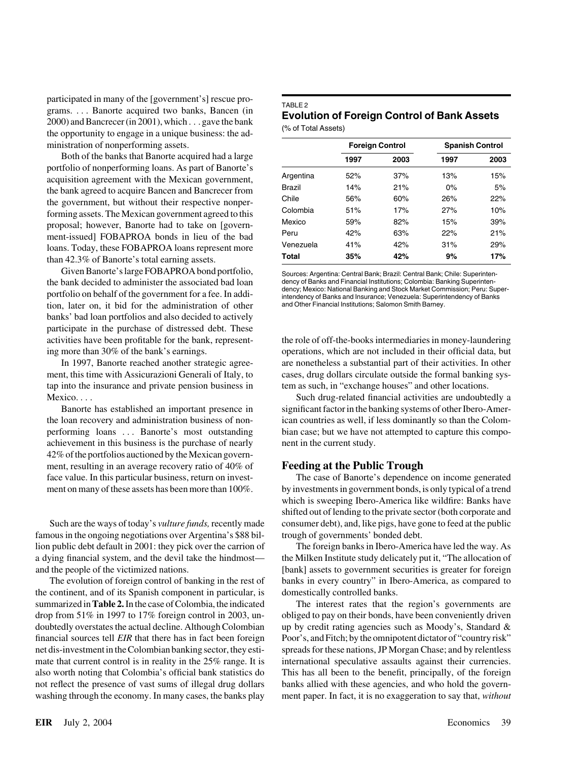participated in many of the [government's] rescue pro-<br>grams.... Banorte acquired two banks, Bancen (in<br>2000) and Bancrecer (in 2001), which ... gave the bank<br>the opportunity to engage in a unique business: the ad-<br> $\frac{1}{2$ ministration of nonperforming assets.

Both of the banks that Banorte acquired had a large portfolio of nonperforming loans. As part of Banorte's acquisition agreement with the Mexican government, the bank agreed to acquire Bancen and Bancrecer from<br>the government, but without their respective nonper-<br>forming assets. The Mexican government agreed to this proposal; however, Banorte had to take on [government-issued] FOBAPROA bonds in lieu of the bad loans. Today, these FOBAPROA loans represent more than 42.3% of Banorte's total earning assets.

Given Banorte's large FOBAPROA bond portfolio, Sources: Argentina: Central Bank; Brazil: Central Bank; Chile: Superinten-<br>hank decided to administer the associated bad loan dency of Banks and Financial Institutions: Colomb tion, later on, it bid for the administration of other and Other Financial Institutions; Salomon Smith Barney. banks' bad loan portfolios and also decided to actively participate in the purchase of distressed debt. These

tap into the insurance and private pension business in tem as such, in "exchange houses" and other locations.

achievement in this business is the purchase of nearly nent in the current study. 42% of the portfolios auctioned by the Mexican government, resulting in an average recovery ratio of 40% of **Feeding at the Public Trough**

famous in the ongoing negotiations over Argentina's \$88 bil- trough of governments' bonded debt. lion public debt default in 2001: they pick over the carrion of The foreign banks in Ibero-America have led the way. As

the continent, and of its Spanish component in particular, is domestically controlled banks. summarized in Table 2. In the case of Colombia, the indicated The interest rates that the region's governments are financial sources tell *EIR* that there has in fact been foreign Poor's, and Fitch; by the omnipotent dictator of "country risk" mate that current control is in reality in the 25% range. It is international speculative assaults against their currencies. not reflect the presence of vast sums of illegal drug dollars banks allied with these agencies, and who hold the governwashing through the economy. In many cases, the banks play ment paper. In fact, it is no exaggeration to say that, *without*

|               | <b>Foreign Control</b> |      | <b>Spanish Control</b> |      |  |
|---------------|------------------------|------|------------------------|------|--|
|               | 1997                   | 2003 | 1997                   | 2003 |  |
| Argentina     | 52%                    | 37%  | 13%                    | 15%  |  |
| <b>Brazil</b> | 14%                    | 21%  | $0\%$                  | 5%   |  |
| Chile         | 56%                    | 60%  | 26%                    | 22%  |  |
| Colombia      | 51%                    | 17%  | 27%                    | 10%  |  |
| Mexico        | 59%                    | 82%  | 15%                    | 39%  |  |
| Peru          | 42%                    | 63%  | 22%                    | 21%  |  |
| Venezuela     | 41%                    | 42%  | 31%                    | 29%  |  |
| Total         | 35%                    | 42%  | 9%                     | 17%  |  |

the bank decided to administer the associated bad loan dency of Banks and Financial Institutions; Colombia: Banking Superinten-<br>nortfolio on babalf of the associations for a face In a l.l. dency; Mexico: National Banking a portfolio on behalf of the government for a fee. In addi-<br>intendency of Banks and Insurance; Venezuela: Superintendency of Banks

activities have been profitable for the bank, represent- the role of off-the-books intermediaries in money-laundering ing more than 30% of the bank's earnings. operations, which are not included in their official data, but In 1997, Banorte reached another strategic agree- are nonetheless a substantial part of their activities. In other ment, this time with Assicurazioni Generali of Italy, to cases, drug dollars circulate outside the formal banking sys-

Mexico. . . . Such drug-related financial activities are undoubtedly a Banorte has established an important presence in significant factor in the banking systems of other Ibero-Amerthe loan recovery and administration business of non- ican countries as well, if less dominantly so than the Colomperforming loans . . . Banorte's most outstanding bian case; but we have not attempted to capture this compo-

face value. In this particular business, return on invest- The case of Banorte's dependence on income generated ment on many of these assets has been more than 100%. by investments in government bonds, is only typical of a trend which is sweeping Ibero-America like wildfire: Banks have shifted out of lending to the private sector (both corporate and Such are the ways of today's *vulture funds*, recently made consumer debt), and, like pigs, have gone to feed at the public

a dying financial system, and the devil take the hindmost— the Milken Institute study delicately put it, "The allocation of and the people of the victimized nations. [bank] assets to government securities is greater for foreign The evolution of foreign control of banking in the rest of banks in every country" in Ibero-America, as compared to

drop from 51% in 1997 to 17% foreign control in 2003, un- obliged to pay on their bonds, have been conveniently driven doubtedly overstates the actual decline. Although Colombian up by credit rating agencies such as Moody's, Standard  $\&$ net dis-investment in the Colombian banking sector, they esti- spreads for these nations, JP Morgan Chase; and by relentless also worth noting that Colombia's official bank statistics do This has all been to the benefit, principally, of the foreign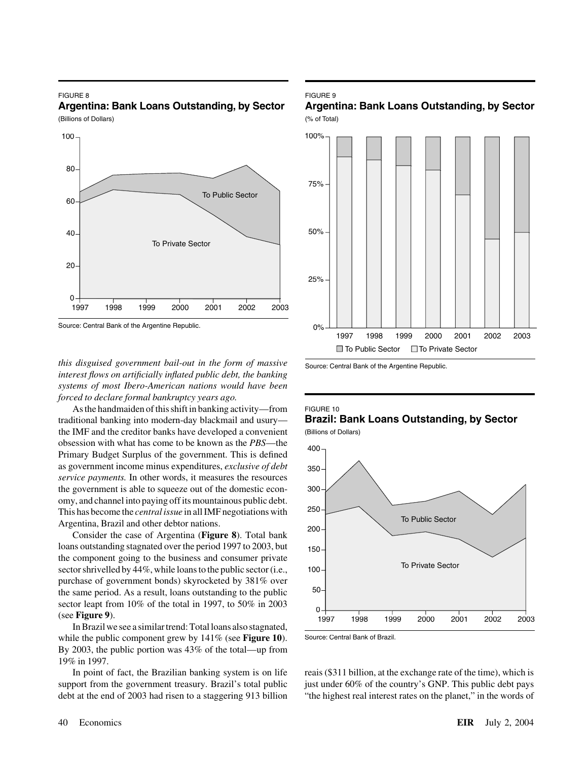### FIGURE 8 **Argentina: Bank Loans Outstanding, by Sector**

(Billions of Dollars)



Source: Central Bank of the Argentine Republic.

*this disguised government bail-out in the form of massive interest flows on artificially inflated public debt, the banking systems of most Ibero-American nations would have been forced to declare formal bankruptcy years ago.*

As the handmaiden of this shift in banking activity—from traditional banking into modern-day blackmail and usury the IMF and the creditor banks have developed a convenient obsession with what has come to be known as the *PBS*—the Primary Budget Surplus of the government. This is defined as government income minus expenditures, *exclusive of debt service payments.* In other words, it measures the resources the government is able to squeeze out of the domestic economy, and channel into paying off its mountainous public debt. This has become the *central issue* in all IMF negotiations with Argentina, Brazil and other debtor nations.

Consider the case of Argentina (**Figure 8**). Total bank loans outstanding stagnated over the period 1997 to 2003, but the component going to the business and consumer private sector shrivelled by 44%, while loans to the public sector (i.e., purchase of government bonds) skyrocketed by 381% over the same period. As a result, loans outstanding to the public sector leapt from 10% of the total in 1997, to 50% in 2003 (see **Figure 9**).

In Brazil we see a similar trend: Total loans also stagnated, while the public component grew by 141% (see **Figure 10**). By 2003, the public portion was 43% of the total—up from 19% in 1997.

# FIGURE 9





Source: Central Bank of the Argentine Republic.

### FIGURE 10 **Brazil: Bank Loans Outstanding, by Sector** (Billions of Dollars)



Source: Central Bank of Brazil.

In point of fact, the Brazilian banking system is on life reais (\$311 billion, at the exchange rate of the time), which is support from the government treasury. Brazil's total public just under  $60\%$  of the country's GNP. This public debt pays debt at the end of 2003 had risen to a staggering 913 billion "the highest real interest rates on the planet," in the words of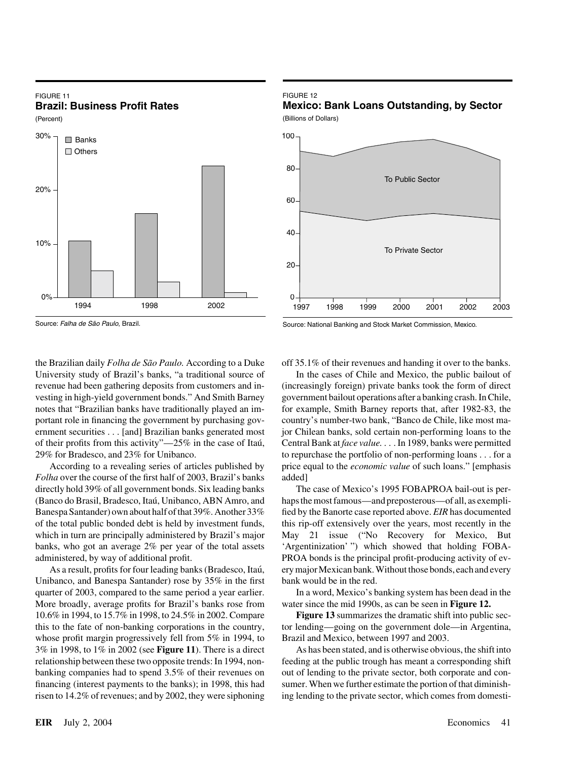# FIGURE 11 **Brazil: Business Profit Rates**

(Percent)



Source: Falha de São Paulo, Brazil.

University study of Brazil's banks, "a traditional source of In the cases of Chile and Mexico, the public bailout of

*Folha* over the course of the first half of 2003, Brazil's banks added]

Unibanco, and Banespa Santander) rose by 35% in the first bank would be in the red. quarter of 2003, compared to the same period a year earlier. In a word, Mexico's banking system has been dead in the More broadly, average profits for Brazil's banks rose from water since the mid 1990s, as can be seen in **Figure 12.** whose profit margin progressively fell from 5% in 1994, to Brazil and Mexico, between 1997 and 2003. 3% in 1998, to 1% in 2002 (see **Figure 11**). There is a direct As has been stated, and is otherwise obvious, the shift into relationship between these two opposite trends: In 1994, non- feeding at the public trough has meant a corresponding shift banking companies had to spend 3.5% of their revenues on out of lending to the private sector, both corporate and confinancing (interest payments to the banks); in 1998, this had sumer. When we further estimate the portion of that diminish-

# FIGURE 12

**Mexico: Bank Loans Outstanding, by Sector**

(Billions of Dollars)



Source: National Banking and Stock Market Commission, Mexico.

the Brazilian daily *Folha de São Paulo*. According to a Duke off 35.1% of their revenues and handing it over to the banks.

revenue had been gathering deposits from customers and in- (increasingly foreign) private banks took the form of direct vesting in high-yield government bonds." And Smith Barney government bailout operations after a banking crash. In Chile, notes that "Brazilian banks have traditionally played an im- for example, Smith Barney reports that, after 1982-83, the portant role in financing the government by purchasing gov- country's number-two bank, "Banco de Chile, like most maernment securities... [and] Brazilian banks generated most jor Chilean banks, sold certain non-performing loans to the of their profits from this activity"—25% in the case of Itau´, Central Bank at *face value.* . . . In 1989, banks were permitted 29% for Bradesco, and 23% for Unibanco. to repurchase the portfolio of non-performing loans . . . for a According to a revealing series of articles published by price equal to the *economic value* of such loans." [emphasis

directly hold 39% of all government bonds. Six leading banks The case of Mexico's 1995 FOBAPROA bail-out is per- (Banco do Brasil, Bradesco, Itau´, Unibanco, ABN Amro, and haps the most famous—and preposterous—of all, as exempli-Banespa Santander) own about half of that 39%. Another 33% fied by the Banorte case reported above. *EIR* has documented of the total public bonded debt is held by investment funds, this rip-off extensively over the years, most recently in the which in turn are principally administered by Brazil's major May 21 issue ("No Recovery for Mexico, But banks, who got an average 2% per year of the total assets 'Argentinization' ") which showed that holding FOBAadministered, by way of additional profit. PROA bonds is the principal profit-producing activity of ev-As a result, profits for four leading banks (Bradesco, Itaú, ery major Mexican bank. Without those bonds, each and every

10.6% in 1994, to 15.7% in 1998, to 24.5% in 2002. Compare **Figure 13** summarizes the dramatic shift into public secthis to the fate of non-banking corporations in the country, tor lending—going on the government dole—in Argentina,

risen to 14.2% of revenues; and by 2002, they were siphoning ing lending to the private sector, which comes from domesti-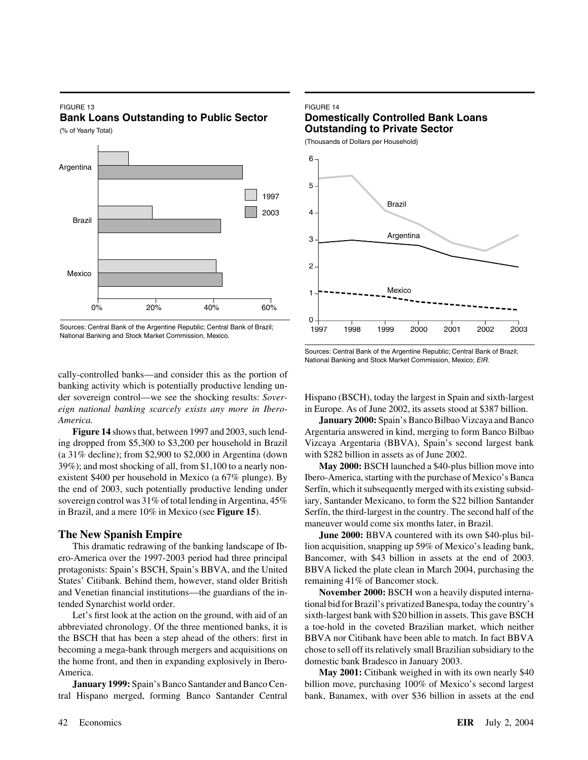# FIGURE 13

**Bank Loans Outstanding to Public Sector**

(% of Yearly Total)



Sources: Central Bank of the Argentine Republic; Central Bank of Brazil; National Banking and Stock Market Commission, Mexico.

### FIGURE 14

# **Domestically Controlled Bank Loans Outstanding to Private Sector**

(Thousands of Dollars per Household)



Sources: Central Bank of the Argentine Republic; Central Bank of Brazil; National Banking and Stock Market Commission, Mexico; *EIR.*

cally-controlled banks—and consider this as the portion of banking activity which is potentially productive lending un*eign national banking scarcely exists any more in Ibero-* in Europe. As of June 2002, its assets stood at \$387 billion. *America.* **January 2000:** Spain's Banco Bilbao Vizcaya and Banco

ing dropped from \$5,300 to \$3,200 per household in Brazil Vizcaya Argentaria (BBVA), Spain's second largest bank (a 31% decline); from \$2,900 to \$2,000 in Argentina (down with \$282 billion in assets as of June 2002. 39%); and most shocking of all, from \$1,100 to a nearly non- **May 2000:** BSCH launched a \$40-plus billion move into existent \$400 per household in Mexico (a 67% plunge). By Ibero-America, starting with the purchase of Mexico's Banca the end of 2003, such potentially productive lending under Serfín, which it subsequently merged with its existing subsidsovereign control was 31% of total lending in Argentina, 45% iary, Santander Mexicano, to form the \$22 billion Santander in Brazil, and a mere 10% in Mexico (see **Figure 15**). Serfín, the third-largest in the country. The second half of the

ero-America over the 1997-2003 period had three principal Bancomer, with \$43 billion in assets at the end of 2003. protagonists: Spain's BSCH, Spain's BBVA, and the United BBVA licked the plate clean in March 2004, purchasing the States' Citibank. Behind them, however, stand older British remaining 41% of Bancomer stock. and Venetian financial institutions—the guardians of the in- **November 2000:** BSCH won a heavily disputed interna-

abbreviated chronology. Of the three mentioned banks, it is a toe-hold in the coveted Brazilian market, which neither the BSCH that has been a step ahead of the others: first in BBVA nor Citibank have been able to match. In fact BBVA becoming a mega-bank through mergers and acquisitions on chose to sell off its relatively small Brazilian subsidiary to the the home front, and then in expanding explosively in Ibero- domestic bank Bradesco in January 2003. America. **May 2001:** Citibank weighed in with its own nearly \$40

tral Hispano merged, forming Banco Santander Central bank, Banamex, with over \$36 billion in assets at the end

der sovereign control—we see the shocking results: *Sover-* Hispano (BSCH), today the largest in Spain and sixth-largest

**Figure 14** shows that, between 1997 and 2003, such lend- Argentaria answered in kind, merging to form Banco Bilbao

maneuver would come six months later, in Brazil.

**The New Spanish Empire June 2000:** BBVA countered with its own \$40-plus bil-This dramatic redrawing of the banking landscape of Ib- lion acquisition, snapping up 59% of Mexico's leading bank,

tended Synarchist world order. tional bid for Brazil's privatized Banespa, today the country's Let's first look at the action on the ground, with aid of an sixth-largest bank with \$20 billion in assets. This gave BSCH

**January 1999:** Spain's Banco Santander and Banco Cen-<br>billion move, purchasing 100% of Mexico's second largest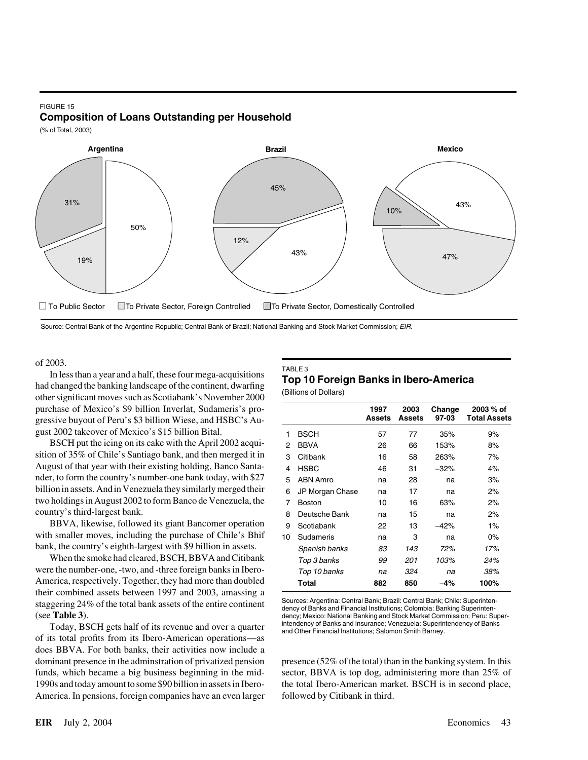### FIGURE 15 **Composition of Loans Outstanding per Household**

(% of Total, 2003)



Source: Central Bank of the Argentine Republic; Central Bank of Brazil; National Banking and Stock Market Commission; *EIR.*

of 2003.

In less than a year and a half, these four mega-acquisitions<br>had changed the banking landscape of the continent, dwarfing<br>other significant moves such as Scotiabank's November 2000 purchase of Mexico's \$9 billion Inverlat, Sudameris's pro-**Assets Assets 97-03 Total Assets** gressive buyout of Peru's \$3 billion Wiese, and HSBC's August 2002 takeover of Mexico's \$15 billion Bital.

BSCH put the icing on its cake with the April 2002 acquisition of  $35\%$  of Chile's Santiago bank, and then merged it in August of that year with their existing holding, Banco Santander, to form the country's number-one bank today, with \$27 billion in assets. And in Venezuela they similarly merged their two holdings in August 2002 to form Banco de Venezuela, the country's third-largest bank.

BBVA, likewise, followed its giant Bancomer operation with smaller moves, including the purchase of Chile's Bhif bank, the country's eighth-largest with \$9 billion in assets.

When the smoke had cleared, BSCH, BBVA and Citibank were the number-one, -two, and -three foreign banks in Ibero-America, respectively. Together, they had more than doubled their combined assets between 1997 and 2003, amassing a Sources: Argentina: Central Bank; Brazil: Central Bank; Chile: Superinten-<br>Sources: Argentina: Central Bank; Brazil: Central Bank; Chile: Superinten-<br>dency: Mexico: National Banking and Stock Market Commission; Peru: Super

Today, BSCH gets half of its revenue and over a quarter and other Financial Institutions; Salomon Smith Barney. of its total profits from its Ibero-American operations—as does BBVA. For both banks, their activities now include a dominant presence in the adminstration of privatized pension presence (52% of the total) than in the banking system. In this funds, which became a big business beginning in the mid- sector, BBVA is top dog, administering more than 25% of 1990s and today amount to some \$90 billion in assets in Ibero- the total Ibero-American market. BSCH is in second place, America. In pensions, foreign companies have an even larger followed by Citibank in third.

|    |                 | 1997<br>Assets | 2003<br>Assets | Change<br>97-03 | 2003 % of<br><b>Total Assets</b> |
|----|-----------------|----------------|----------------|-----------------|----------------------------------|
| 1  | BSCH            | 57             | 77             | 35%             | 9%                               |
| 2  | <b>BBVA</b>     | 26             | 66             | 153%            | 8%                               |
| 3  | Citibank        | 16             | 58             | 263%            | 7%                               |
| 4  | <b>HSBC</b>     | 46             | 31             | $-32%$          | 4%                               |
| 5  | ABN Amro        | na             | 28             | na              | 3%                               |
| 6  | JP Morgan Chase | na             | 17             | na              | 2%                               |
| 7  | <b>Boston</b>   | 10             | 16             | 63%             | 2%                               |
| 8  | Deutsche Bank   | na             | 15             | na              | 2%                               |
| 9  | Scotiabank      | 22             | 13             | -42%            | $1\%$                            |
| 10 | Sudameris       | na             | 3              | na              | $0\%$                            |
|    | Spanish banks   | 83             | 143            | 72%             | 17%                              |
|    | Top 3 banks     | 99             | 201            | 103%            | 24%                              |
|    | Top 10 banks    | na             | 324            | na              | 38%                              |
|    | Total           | 882            | 850            | 4%              | 100%                             |
|    |                 |                |                |                 |                                  |

dency; Mexico: National Banking and Stock Market Commission; Peru: Super-<br>intendency of Banks and Insurance; Venezuela: Superintendency of Banks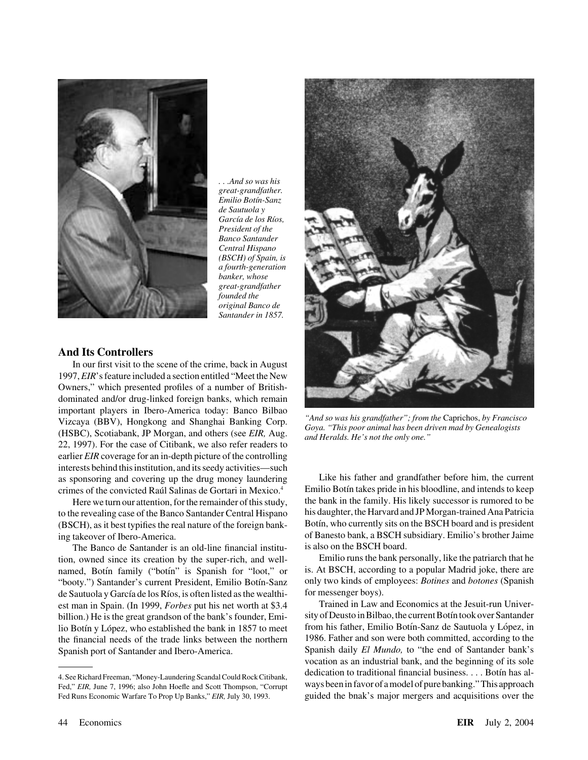

*. . .And so was his great-grandfather. Emilio Bot´ın-Sanz de Sautuola y* García de los Ríos, *President of the Banco Santander Central Hispano (BSCH) of Spain, is a fourth-generation banker, whose great-grandfather founded the original Banco de Santander in 1857.*

# **And Its Controllers**

In our first visit to the scene of the crime, back in August 1997,*EIR*'s feature included a section entitled "Meet the New Owners," which presented profiles of a number of Britishdominated and/or drug-linked foreign banks, which remain important players in Ibero-America today: Banco Bilbao<br>Vizcaya (BBV), Hongkong and Shanghai Banking Corp.<br>(HSBC), Scotiabank, JP Morgan, and others (see *EIR*, Aug. *Goya. "This poor animal has been driven mad by Genealogi* earlier *EIR* coverage for an in-depth picture of the controlling interests behind this institution, and its seedy activities—such as sponsoring and covering up the drug money laundering Like his father and grandfather before him, the current

to the revealing case of the Banco Santander Central Hispano

The Banco de Santander is an old-line financial institution, owned since its creation by the super-rich, and well- Emilio runs the bank personally, like the patriarch that he de Sautuola y García de los Ríos, is often listed as the wealthi-<br>
est man in Spain. (In 1999, *Forbes* put his net worth at \$3.4<br>
Trained in Law and Economics at the Jesuit-run Univerbillion.) He is the great grandson of the bank's founder, Emithe financial needs of the trade links between the northern



crimes of the convicted Raúl Salinas de Gortari in Mexico.<sup>4</sup> Emilio Botín takes pride in his bloodline, and intends to keep Here we turn our attention, for the remainder of this study, the bank in the family. His likely successor is rumored to be the revealing case of the Banco Santander Central Hispano his daughter, the Harvard and JP Morgan-t (BSCH), as it best typifies the real nature of the foreign bank- Bot´ın, who currently sits on the BSCH board and is president ing takeover of Ibero-America.<br>The Banco de Santander is an old-line financial institu-<br>is also on the BSCH board.

named, Botín family ("botín" is Spanish for "loot," or is. At BSCH, according to a popular Madrid joke, there are "booty.") Santander's current President, Emilio Botín-Sanz only two kinds of employees: *Botines* and *botones* (Spanish

est man in Spain. (In 1999, *Forbes* put his net worth at \$3.4 Trained in Law and Economics at the Jesuit-run Univerlio Botín y López, who established the bank in 1857 to meet from his father, Emilio Botín-Sanz de Sautuola y López, in the financial needs of the trade links between the northern 1986. Father and son were both committed, a Spanish port of Santander and Ibero-America. Spanish daily *El Mundo*, to "the end of Santander bank's vocation as an industrial bank, and the beginning of its sole 4. See Richard Freeman, "Money-Laundering Scandal Could Rock Citibank, dedication to traditional financial business. . . . Botin has al-Fed," *EIR*, June 7, 1996; also John Hoefle and Scott Thompson, "Corrupt ways been in favor of a model of pure banking." This approach Fed Runs Economic Warfare To Prop Up Banks," *EIR*, July 30, 1993. guided the bnak's major mergers and acquisitions over the